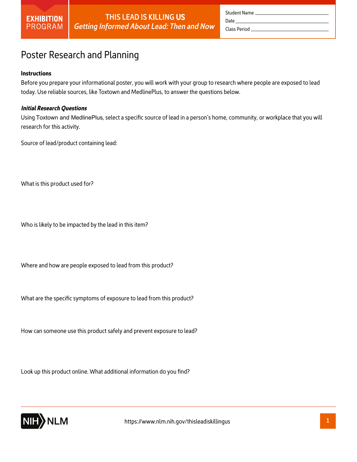

|             | Student Name |
|-------------|--------------|
| Date ______ |              |
|             |              |

## Poster Research and Planning

#### **Instructions**

Before you prepare your informational poster, you will work with your group to research where people are exposed to lead today. Use reliable sources, like Toxtown and MedlinePlus, to answer the questions below.

#### *Initial Research Questions*

Using Toxtown and MedlinePlus, select a specific source of lead in a person's home, community, or workplace that you will research for this activity.

Source of lead/product containing lead:

What is this product used for?

Who is likely to be impacted by the lead in this item?

Where and how are people exposed to lead from this product?

What are the specific symptoms of exposure to lead from this product?

How can someone use this product safely and prevent exposure to lead?

Look up this product online. What additional information do you find?